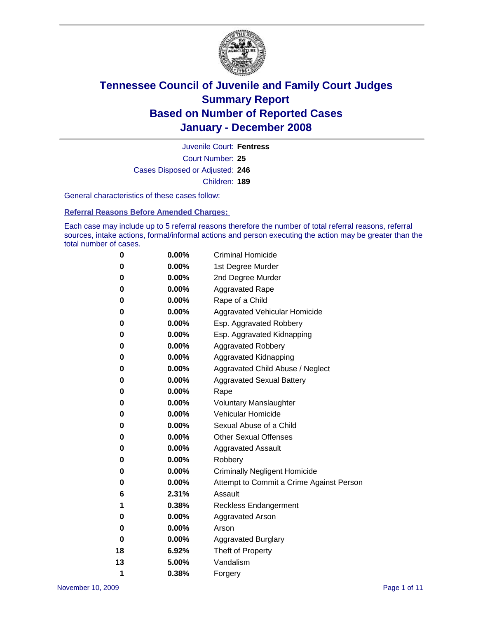

Court Number: **25** Juvenile Court: **Fentress** Cases Disposed or Adjusted: **246** Children: **189**

General characteristics of these cases follow:

**Referral Reasons Before Amended Charges:** 

Each case may include up to 5 referral reasons therefore the number of total referral reasons, referral sources, intake actions, formal/informal actions and person executing the action may be greater than the total number of cases.

| 0  | 0.00%    | <b>Criminal Homicide</b>                 |
|----|----------|------------------------------------------|
| 0  | 0.00%    | 1st Degree Murder                        |
| 0  | $0.00\%$ | 2nd Degree Murder                        |
| 0  | 0.00%    | <b>Aggravated Rape</b>                   |
| 0  | 0.00%    | Rape of a Child                          |
| 0  | 0.00%    | Aggravated Vehicular Homicide            |
| 0  | 0.00%    | Esp. Aggravated Robbery                  |
| 0  | $0.00\%$ | Esp. Aggravated Kidnapping               |
| 0  | 0.00%    | <b>Aggravated Robbery</b>                |
| 0  | 0.00%    | Aggravated Kidnapping                    |
| 0  | 0.00%    | Aggravated Child Abuse / Neglect         |
| 0  | 0.00%    | <b>Aggravated Sexual Battery</b>         |
| 0  | 0.00%    | Rape                                     |
| 0  | 0.00%    | <b>Voluntary Manslaughter</b>            |
| 0  | 0.00%    | Vehicular Homicide                       |
| 0  | $0.00\%$ | Sexual Abuse of a Child                  |
| 0  | 0.00%    | <b>Other Sexual Offenses</b>             |
| 0  | 0.00%    | <b>Aggravated Assault</b>                |
| 0  | 0.00%    | Robbery                                  |
| 0  | 0.00%    | <b>Criminally Negligent Homicide</b>     |
| 0  | 0.00%    | Attempt to Commit a Crime Against Person |
| 6  | 2.31%    | Assault                                  |
| 1  | 0.38%    | <b>Reckless Endangerment</b>             |
| 0  | 0.00%    | <b>Aggravated Arson</b>                  |
| 0  | 0.00%    | Arson                                    |
| 0  | 0.00%    | <b>Aggravated Burglary</b>               |
| 18 | 6.92%    | Theft of Property                        |
| 13 | 5.00%    | Vandalism                                |
| 1  | 0.38%    | Forgery                                  |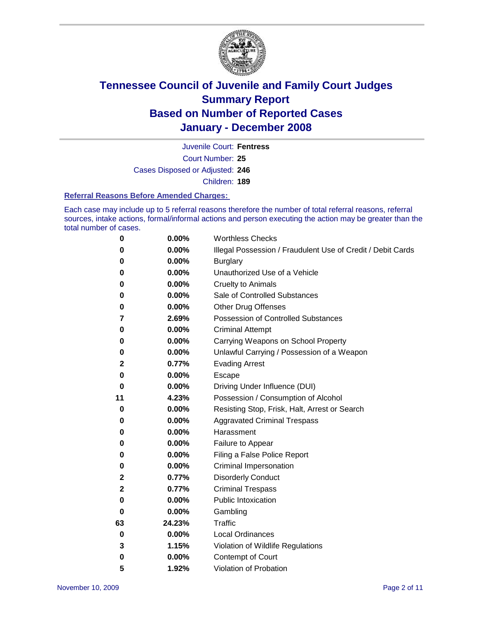

Court Number: **25** Juvenile Court: **Fentress** Cases Disposed or Adjusted: **246** Children: **189**

#### **Referral Reasons Before Amended Charges:**

Each case may include up to 5 referral reasons therefore the number of total referral reasons, referral sources, intake actions, formal/informal actions and person executing the action may be greater than the total number of cases.

| 0            | 0.00%  | <b>Worthless Checks</b>                                     |
|--------------|--------|-------------------------------------------------------------|
| 0            | 0.00%  | Illegal Possession / Fraudulent Use of Credit / Debit Cards |
| 0            | 0.00%  | <b>Burglary</b>                                             |
| 0            | 0.00%  | Unauthorized Use of a Vehicle                               |
| 0            | 0.00%  | <b>Cruelty to Animals</b>                                   |
| 0            | 0.00%  | Sale of Controlled Substances                               |
| 0            | 0.00%  | <b>Other Drug Offenses</b>                                  |
| 7            | 2.69%  | <b>Possession of Controlled Substances</b>                  |
| 0            | 0.00%  | <b>Criminal Attempt</b>                                     |
| 0            | 0.00%  | Carrying Weapons on School Property                         |
| 0            | 0.00%  | Unlawful Carrying / Possession of a Weapon                  |
| $\mathbf{2}$ | 0.77%  | <b>Evading Arrest</b>                                       |
| 0            | 0.00%  | Escape                                                      |
| 0            | 0.00%  | Driving Under Influence (DUI)                               |
| 11           | 4.23%  | Possession / Consumption of Alcohol                         |
| 0            | 0.00%  | Resisting Stop, Frisk, Halt, Arrest or Search               |
| 0            | 0.00%  | <b>Aggravated Criminal Trespass</b>                         |
| 0            | 0.00%  | Harassment                                                  |
| 0            | 0.00%  | Failure to Appear                                           |
| 0            | 0.00%  | Filing a False Police Report                                |
| 0            | 0.00%  | Criminal Impersonation                                      |
| 2            | 0.77%  | <b>Disorderly Conduct</b>                                   |
| $\mathbf 2$  | 0.77%  | <b>Criminal Trespass</b>                                    |
| 0            | 0.00%  | <b>Public Intoxication</b>                                  |
| 0            | 0.00%  | Gambling                                                    |
| 63           | 24.23% | Traffic                                                     |
| 0            | 0.00%  | <b>Local Ordinances</b>                                     |
| 3            | 1.15%  | Violation of Wildlife Regulations                           |
| 0            | 0.00%  | Contempt of Court                                           |
| 5            | 1.92%  | Violation of Probation                                      |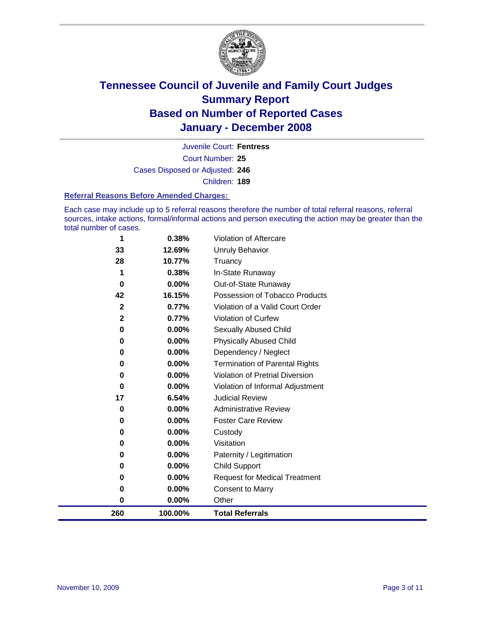

Court Number: **25** Juvenile Court: **Fentress** Cases Disposed or Adjusted: **246** Children: **189**

#### **Referral Reasons Before Amended Charges:**

Each case may include up to 5 referral reasons therefore the number of total referral reasons, referral sources, intake actions, formal/informal actions and person executing the action may be greater than the total number of cases.

| 260          | 100.00% | <b>Total Referrals</b>                 |
|--------------|---------|----------------------------------------|
| 0            | 0.00%   | Other                                  |
| 0            | 0.00%   | <b>Consent to Marry</b>                |
| 0            | 0.00%   | <b>Request for Medical Treatment</b>   |
| 0            | 0.00%   | <b>Child Support</b>                   |
| 0            | 0.00%   | Paternity / Legitimation               |
| 0            | 0.00%   | Visitation                             |
| 0            | 0.00%   | Custody                                |
| 0            | 0.00%   | <b>Foster Care Review</b>              |
| 0            | 0.00%   | <b>Administrative Review</b>           |
| 17           | 6.54%   | <b>Judicial Review</b>                 |
| 0            | 0.00%   | Violation of Informal Adjustment       |
| 0            | 0.00%   | <b>Violation of Pretrial Diversion</b> |
| 0            | 0.00%   | <b>Termination of Parental Rights</b>  |
| 0            | 0.00%   | Dependency / Neglect                   |
| 0            | 0.00%   | <b>Physically Abused Child</b>         |
| 0            | 0.00%   | Sexually Abused Child                  |
| $\mathbf{2}$ | 0.77%   | <b>Violation of Curfew</b>             |
| $\mathbf{2}$ | 0.77%   | Violation of a Valid Court Order       |
| 42           | 16.15%  | Possession of Tobacco Products         |
| $\bf{0}$     | 0.00%   | Out-of-State Runaway                   |
| 1            | 0.38%   | In-State Runaway                       |
| 28           | 10.77%  | Truancy                                |
| 33           | 12.69%  | Unruly Behavior                        |
| 1            | 0.38%   | Violation of Aftercare                 |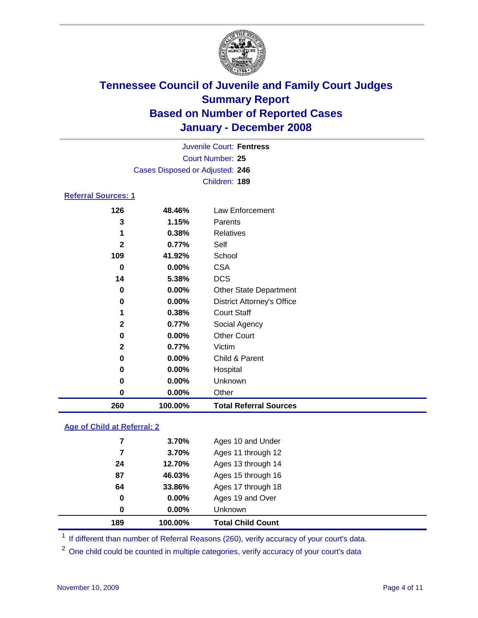

| Juvenile Court: Fentress        |  |
|---------------------------------|--|
| Court Number: 25                |  |
| Cases Disposed or Adjusted: 246 |  |
| Children: 189                   |  |
|                                 |  |

### **Referral Sources: 1**

| 126          | 48.46%   | Law Enforcement                   |
|--------------|----------|-----------------------------------|
| 3            | 1.15%    | Parents                           |
| 1            | 0.38%    | Relatives                         |
| $\mathbf{2}$ | 0.77%    | Self                              |
| 109          | 41.92%   | School                            |
| 0            | 0.00%    | <b>CSA</b>                        |
| 14           | 5.38%    | <b>DCS</b>                        |
| 0            | 0.00%    | <b>Other State Department</b>     |
| 0            | 0.00%    | <b>District Attorney's Office</b> |
|              | 0.38%    | <b>Court Staff</b>                |
| $\mathbf{2}$ | 0.77%    | Social Agency                     |
| 0            | $0.00\%$ | <b>Other Court</b>                |
| $\mathbf{2}$ | 0.77%    | Victim                            |
| 0            | $0.00\%$ | Child & Parent                    |
| 0            | 0.00%    | Hospital                          |
| 0            | 0.00%    | Unknown                           |
| 0            | 0.00%    | Other                             |
| 260          | 100.00%  | <b>Total Referral Sources</b>     |

### **Age of Child at Referral: 2**

| 189         | 100.00% | <b>Total Child Count</b> |
|-------------|---------|--------------------------|
| $\mathbf 0$ | 0.00%   | Unknown                  |
| 0           | 0.00%   | Ages 19 and Over         |
| 64          | 33.86%  | Ages 17 through 18       |
| 87          | 46.03%  | Ages 15 through 16       |
| 24          | 12.70%  | Ages 13 through 14       |
|             | 3.70%   | Ages 11 through 12       |
| 7           | 3.70%   | Ages 10 and Under        |
|             |         |                          |

<sup>1</sup> If different than number of Referral Reasons (260), verify accuracy of your court's data.

<sup>2</sup> One child could be counted in multiple categories, verify accuracy of your court's data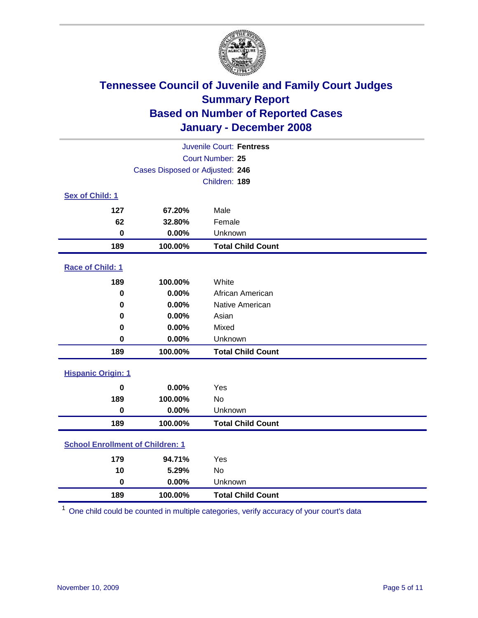

| Juvenile Court: Fentress                |                                 |                          |  |  |  |
|-----------------------------------------|---------------------------------|--------------------------|--|--|--|
| Court Number: 25                        |                                 |                          |  |  |  |
|                                         | Cases Disposed or Adjusted: 246 |                          |  |  |  |
|                                         |                                 | Children: 189            |  |  |  |
| Sex of Child: 1                         |                                 |                          |  |  |  |
| 127                                     | 67.20%                          | Male                     |  |  |  |
| 62                                      | 32.80%                          | Female                   |  |  |  |
| $\bf{0}$                                | 0.00%                           | Unknown                  |  |  |  |
| 189                                     | 100.00%                         | <b>Total Child Count</b> |  |  |  |
| Race of Child: 1                        |                                 |                          |  |  |  |
| 189                                     | 100.00%                         | White                    |  |  |  |
| $\bf{0}$                                | 0.00%                           | African American         |  |  |  |
| $\bf{0}$                                | 0.00%                           | Native American          |  |  |  |
| 0                                       | 0.00%                           | Asian                    |  |  |  |
| $\bf{0}$                                | 0.00%                           | Mixed                    |  |  |  |
| 0                                       | 0.00%                           | Unknown                  |  |  |  |
| 189                                     | 100.00%                         | <b>Total Child Count</b> |  |  |  |
| <b>Hispanic Origin: 1</b>               |                                 |                          |  |  |  |
| $\bf{0}$                                | 0.00%                           | Yes                      |  |  |  |
| 189                                     | 100.00%                         | No                       |  |  |  |
| $\bf{0}$                                | 0.00%                           | Unknown                  |  |  |  |
| 189                                     | 100.00%                         | <b>Total Child Count</b> |  |  |  |
| <b>School Enrollment of Children: 1</b> |                                 |                          |  |  |  |
| 179                                     | 94.71%                          | Yes                      |  |  |  |
| 10                                      | 5.29%                           | No                       |  |  |  |
| $\mathbf 0$                             | 0.00%                           | Unknown                  |  |  |  |
| 189                                     | 100.00%                         | <b>Total Child Count</b> |  |  |  |

One child could be counted in multiple categories, verify accuracy of your court's data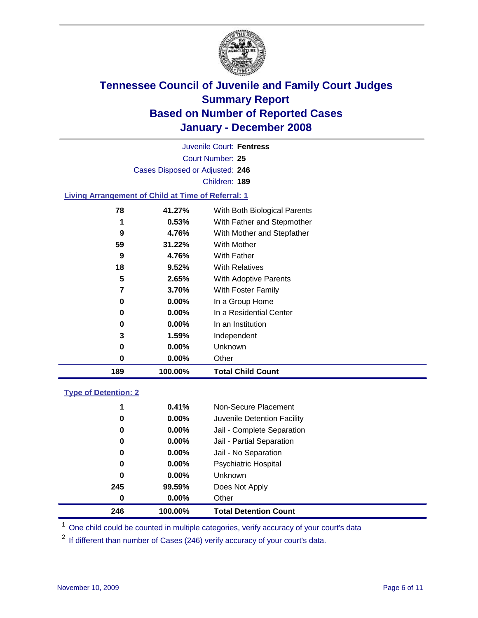

Court Number: **25** Juvenile Court: **Fentress** Cases Disposed or Adjusted: **246** Children: **189**

#### **Living Arrangement of Child at Time of Referral: 1**

| 189 | 100.00%  | <b>Total Child Count</b>     |
|-----|----------|------------------------------|
| 0   | $0.00\%$ | Other                        |
| 0   | 0.00%    | Unknown                      |
| 3   | 1.59%    | Independent                  |
| 0   | 0.00%    | In an Institution            |
| 0   | $0.00\%$ | In a Residential Center      |
| 0   | 0.00%    | In a Group Home              |
| 7   | 3.70%    | With Foster Family           |
| 5   | 2.65%    | With Adoptive Parents        |
| 18  | 9.52%    | <b>With Relatives</b>        |
| 9   | 4.76%    | With Father                  |
| 59  | 31.22%   | With Mother                  |
| 9   | 4.76%    | With Mother and Stepfather   |
| 1   | 0.53%    | With Father and Stepmother   |
| 78  | 41.27%   | With Both Biological Parents |
|     |          |                              |

#### **Type of Detention: 2**

| 246 | 100.00%  | <b>Total Detention Count</b> |
|-----|----------|------------------------------|
| 0   | 0.00%    | Other                        |
| 245 | 99.59%   | Does Not Apply               |
| 0   | $0.00\%$ | <b>Unknown</b>               |
| 0   | $0.00\%$ | <b>Psychiatric Hospital</b>  |
| 0   | $0.00\%$ | Jail - No Separation         |
| 0   | $0.00\%$ | Jail - Partial Separation    |
| 0   | 0.00%    | Jail - Complete Separation   |
| 0   | 0.00%    | Juvenile Detention Facility  |
| 1   | 0.41%    | Non-Secure Placement         |
|     |          |                              |

<sup>1</sup> One child could be counted in multiple categories, verify accuracy of your court's data

<sup>2</sup> If different than number of Cases (246) verify accuracy of your court's data.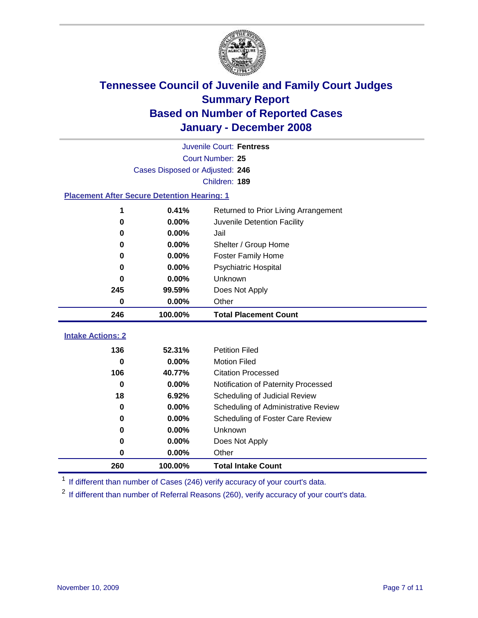

|                                                    | Juvenile Court: Fentress        |                                      |  |  |  |
|----------------------------------------------------|---------------------------------|--------------------------------------|--|--|--|
|                                                    | Court Number: 25                |                                      |  |  |  |
|                                                    | Cases Disposed or Adjusted: 246 |                                      |  |  |  |
|                                                    |                                 | Children: 189                        |  |  |  |
| <b>Placement After Secure Detention Hearing: 1</b> |                                 |                                      |  |  |  |
| 1                                                  | 0.41%                           | Returned to Prior Living Arrangement |  |  |  |
| $\bf{0}$                                           | 0.00%                           | Juvenile Detention Facility          |  |  |  |
| $\bf{0}$                                           | 0.00%                           | Jail                                 |  |  |  |
| $\bf{0}$                                           | 0.00%                           | Shelter / Group Home                 |  |  |  |
| 0                                                  | 0.00%                           | <b>Foster Family Home</b>            |  |  |  |
| $\bf{0}$                                           | 0.00%                           | Psychiatric Hospital                 |  |  |  |
| 0                                                  | 0.00%                           | Unknown                              |  |  |  |
| 245                                                | 99.59%                          | Does Not Apply                       |  |  |  |
| $\bf{0}$                                           | 0.00%                           | Other                                |  |  |  |
| 246                                                | 100.00%                         | <b>Total Placement Count</b>         |  |  |  |
| <b>Intake Actions: 2</b>                           |                                 |                                      |  |  |  |
|                                                    |                                 |                                      |  |  |  |
| 136                                                | 52.31%                          | <b>Petition Filed</b>                |  |  |  |
| $\bf{0}$                                           | 0.00%                           | <b>Motion Filed</b>                  |  |  |  |
| 106                                                | 40.77%                          | <b>Citation Processed</b>            |  |  |  |
| $\bf{0}$                                           | 0.00%                           | Notification of Paternity Processed  |  |  |  |
| 18                                                 | 6.92%                           | Scheduling of Judicial Review        |  |  |  |
| $\bf{0}$                                           | 0.00%                           | Scheduling of Administrative Review  |  |  |  |
| 0                                                  | 0.00%                           | Scheduling of Foster Care Review     |  |  |  |
| 0                                                  | 0.00%                           | Unknown                              |  |  |  |
| $\bf{0}$                                           | 0.00%                           | Does Not Apply                       |  |  |  |
| 0                                                  | 0.00%                           | Other                                |  |  |  |
| 260                                                | 100.00%                         | <b>Total Intake Count</b>            |  |  |  |

<sup>1</sup> If different than number of Cases (246) verify accuracy of your court's data.

<sup>2</sup> If different than number of Referral Reasons (260), verify accuracy of your court's data.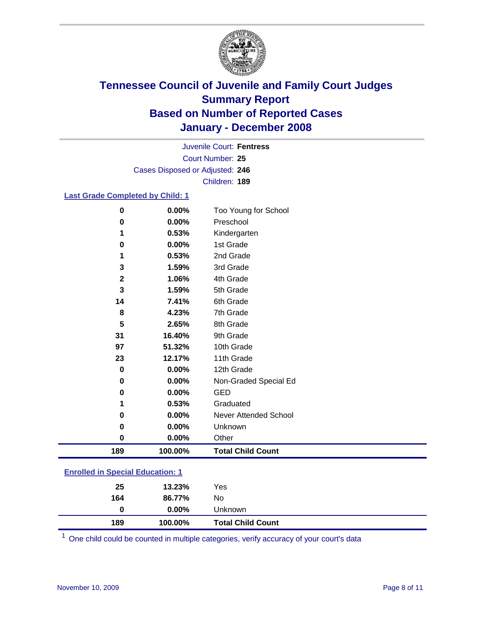

Court Number: **25** Juvenile Court: **Fentress** Cases Disposed or Adjusted: **246** Children: **189**

#### **Last Grade Completed by Child: 1**

| 189          | 100.00%  | <b>Total Child Count</b> |
|--------------|----------|--------------------------|
| $\bf{0}$     | 0.00%    | Other                    |
| 0            | 0.00%    | Unknown                  |
| 0            | 0.00%    | Never Attended School    |
| 1            | 0.53%    | Graduated                |
| 0            | 0.00%    | <b>GED</b>               |
| $\bf{0}$     | 0.00%    | Non-Graded Special Ed    |
| 0            | $0.00\%$ | 12th Grade               |
| 23           | 12.17%   | 11th Grade               |
| 97           | 51.32%   | 10th Grade               |
| 31           | 16.40%   | 9th Grade                |
| 5            | 2.65%    | 8th Grade                |
| 8            | 4.23%    | 7th Grade                |
| 14           | 7.41%    | 6th Grade                |
| 3            | 1.59%    | 5th Grade                |
| $\mathbf{2}$ | 1.06%    | 4th Grade                |
| 3            | 1.59%    | 3rd Grade                |
| 1            | 0.53%    | 2nd Grade                |
| 0            | 0.00%    | 1st Grade                |
| 1            | 0.53%    | Kindergarten             |
| 0            | 0.00%    | Preschool                |
| 0            | 0.00%    | Too Young for School     |

### **Enrolled in Special Education: 1**

| 25  | 13.23%   | Yes                      |
|-----|----------|--------------------------|
| 164 | 86.77%   | No                       |
| 0   | $0.00\%$ | Unknown                  |
| 189 | 100.00%  | <b>Total Child Count</b> |

One child could be counted in multiple categories, verify accuracy of your court's data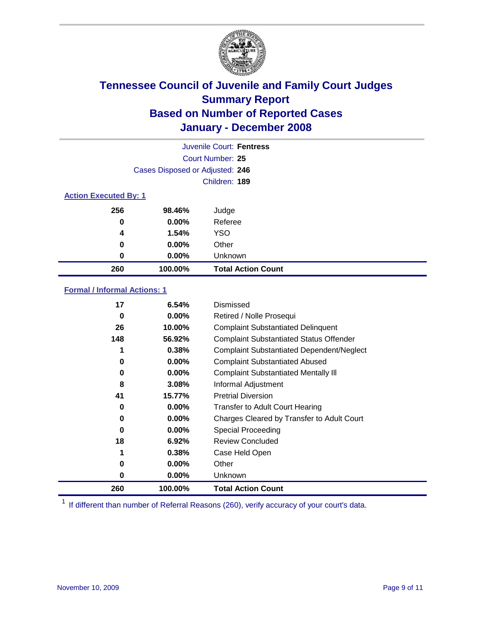

|                              |                                 | Juvenile Court: Fentress  |
|------------------------------|---------------------------------|---------------------------|
|                              |                                 | Court Number: 25          |
|                              | Cases Disposed or Adjusted: 246 |                           |
|                              |                                 | Children: 189             |
| <b>Action Executed By: 1</b> |                                 |                           |
| 256                          | 98.46%                          | Judge                     |
| 0                            | $0.00\%$                        | Referee                   |
| 4                            | 1.54%                           | <b>YSO</b>                |
| 0                            | 0.00%                           | Other                     |
| 0                            | $0.00\%$                        | Unknown                   |
| 260                          | 100.00%                         | <b>Total Action Count</b> |

### **Formal / Informal Actions: 1**

| 17  | 6.54%    | Dismissed                                        |
|-----|----------|--------------------------------------------------|
| 0   | $0.00\%$ | Retired / Nolle Prosequi                         |
| 26  | 10.00%   | <b>Complaint Substantiated Delinquent</b>        |
| 148 | 56.92%   | <b>Complaint Substantiated Status Offender</b>   |
| 1   | 0.38%    | <b>Complaint Substantiated Dependent/Neglect</b> |
| 0   | 0.00%    | <b>Complaint Substantiated Abused</b>            |
| 0   | $0.00\%$ | <b>Complaint Substantiated Mentally III</b>      |
| 8   | 3.08%    | Informal Adjustment                              |
| 41  | 15.77%   | <b>Pretrial Diversion</b>                        |
| 0   | $0.00\%$ | <b>Transfer to Adult Court Hearing</b>           |
| 0   | $0.00\%$ | Charges Cleared by Transfer to Adult Court       |
| 0   | $0.00\%$ | Special Proceeding                               |
| 18  | 6.92%    | <b>Review Concluded</b>                          |
| 1   | 0.38%    | Case Held Open                                   |
| 0   | $0.00\%$ | Other                                            |
| 0   | $0.00\%$ | <b>Unknown</b>                                   |
| 260 | 100.00%  | <b>Total Action Count</b>                        |

<sup>1</sup> If different than number of Referral Reasons (260), verify accuracy of your court's data.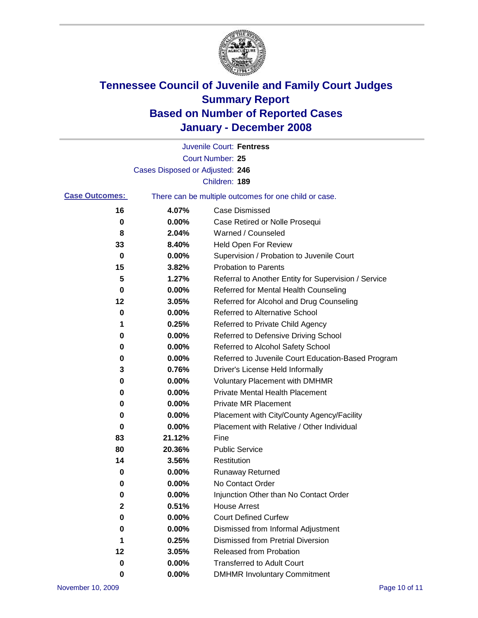

|                       |                                 | Juvenile Court: Fentress                              |
|-----------------------|---------------------------------|-------------------------------------------------------|
|                       |                                 | Court Number: 25                                      |
|                       | Cases Disposed or Adjusted: 246 |                                                       |
|                       |                                 | Children: 189                                         |
| <b>Case Outcomes:</b> |                                 | There can be multiple outcomes for one child or case. |
| 16                    | 4.07%                           | <b>Case Dismissed</b>                                 |
| 0                     | 0.00%                           | Case Retired or Nolle Prosequi                        |
| 8                     | 2.04%                           | Warned / Counseled                                    |
| 33                    | 8.40%                           | Held Open For Review                                  |
| 0                     | 0.00%                           | Supervision / Probation to Juvenile Court             |
| 15                    | 3.82%                           | <b>Probation to Parents</b>                           |
| 5                     | 1.27%                           | Referral to Another Entity for Supervision / Service  |
| 0                     | 0.00%                           | Referred for Mental Health Counseling                 |
| 12                    | 3.05%                           | Referred for Alcohol and Drug Counseling              |
| 0                     | 0.00%                           | <b>Referred to Alternative School</b>                 |
| 1                     | 0.25%                           | Referred to Private Child Agency                      |
| 0                     | 0.00%                           | Referred to Defensive Driving School                  |
| 0                     | 0.00%                           | Referred to Alcohol Safety School                     |
| 0                     | 0.00%                           | Referred to Juvenile Court Education-Based Program    |
| 3                     | 0.76%                           | Driver's License Held Informally                      |
| 0                     | 0.00%                           | <b>Voluntary Placement with DMHMR</b>                 |
| 0                     | 0.00%                           | <b>Private Mental Health Placement</b>                |
| 0                     | 0.00%                           | <b>Private MR Placement</b>                           |
| 0                     | 0.00%                           | Placement with City/County Agency/Facility            |
| 0                     | 0.00%                           | Placement with Relative / Other Individual            |
| 83                    | 21.12%                          | Fine                                                  |
| 80                    | 20.36%                          | <b>Public Service</b>                                 |
| 14                    | 3.56%                           | Restitution                                           |
| 0                     | 0.00%                           | <b>Runaway Returned</b>                               |
| 0                     | 0.00%                           | No Contact Order                                      |
| 0                     | 0.00%                           | Injunction Other than No Contact Order                |
| $\mathbf 2$           | 0.51%                           | <b>House Arrest</b>                                   |
| 0                     | 0.00%                           | <b>Court Defined Curfew</b>                           |
| 0                     | 0.00%                           | Dismissed from Informal Adjustment                    |
| 1                     | 0.25%                           | <b>Dismissed from Pretrial Diversion</b>              |
| 12                    | 3.05%                           | Released from Probation                               |
| 0                     | 0.00%                           | <b>Transferred to Adult Court</b>                     |
| 0                     | $0.00\%$                        | <b>DMHMR Involuntary Commitment</b>                   |